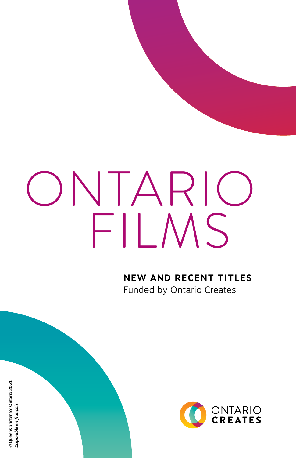# FILMS ONTARIO

**NEW AND RECENT TITLES** Funded by Ontario Creates



© Queens printer for Ontario 2021 © Queens printer for Ontario 2021 Disponible en français *Disponible en français*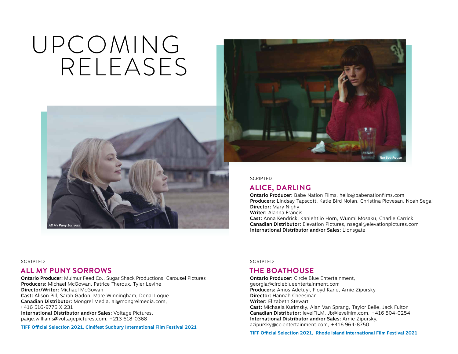## UPCOMING RELEASES





**SCRIPTED** 

## **ALICE, DARLING**

Ontario Producer: Babe Nation Films, [hello@babenationfilms.com](mailto:hello@babenationfilms.com) Producers: Lindsay Tapscott, Katie Bird Nolan, Christina Piovesan, Noah Segal Director: Mary Nighy Writer: Alanna Francis

Cast: Anna Kendrick, Kaniehtiio Horn, Wunmi Mosaku, Charlie Carrick Canadian Distributor: Elevation Pictures, [nsegal@elevationpictures.com](mailto:nsegal@elevationpictures.com) International Distributor and/or Sales: Lionsgate

#### SCRIPTED

## **ALL MY PUNY SORROWS**

Ontario Producer: Mulmur Feed Co., Sugar Shack Productions, Carousel Pictures Producers: Michael McGowan, Patrice Theroux, Tyler Levine Director/Writer: Michael McGowan Cast: Alison Pill, Sarah Gadon, Mare Winningham, Donal Logue Canadian Distributor: Mongrel Media, [ai@mongrelmedia.com](mailto:ai@mongrelmedia.com), +416 516-9775 X 231 International Distributor and/or Sales: Voltage Pictures, [paige.williams@voltagepictures.com,](mailto:paige.williams@voltagepictures.com) +213 618-0368

**TIFF Official Selection 2021, Cinéfest Sudbury International Film Festival 2021**

SCRIPTED

## **THE BOATHOUSE**

Ontario Producer: Circle Blue Entertainment, [georgia@circleblueentertainment.com](mailto:georgia@circleblueentertainment.com) Producers: Amos Adetuyi, Floyd Kane, Arnie Zipursky Director: Hannah Cheesman Writer: Elizabeth Stewart Cast: Michaela Kurimsky, Alan Van Sprang, Taylor Belle, Jack Fulton Canadian Distributor: levelFILM, [Jb@levelfilm.com,](mailto:Jb@levelfilm.com) +416 504-0254 International Distributor and/or Sales: Arnie Zipursky, [azipursky@ccientertainment.com,](mailto:azipursky@ccientertainment.com) +416 964-8750

**TIFF Official Selection 2021, Rhode Island International Film Festival 2021**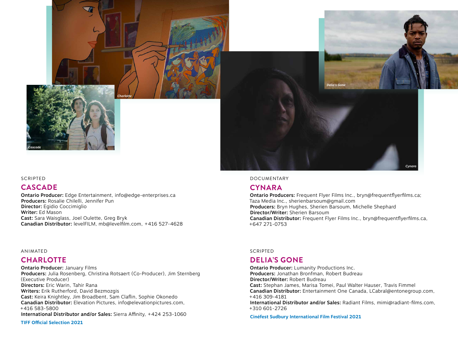



### **CASCADE**

Ontario Producer: Edge Entertainment, [info@edge-enterprises.ca](mailto:info@edge-enterprises.ca) Producers: Rosalie Chilelli, Jennifer Pun Director: Egidio Coccimiglio Writer: Ed Mason Cast: Sara Waisglass, Joel Oulette, Greg Bryk Canadian Distributor: levelFILM, [mb@levelfilm.com](mailto:mb@levelfilm.com), +416 527-4628

#### ANIMATED

## **CHARLOTTE**

Ontario Producer: January Films Producers: Julia Rosenberg, Christina Rotsaert (Co-Producer), Jim Sternberg (Executive Producer) Directors: Eric Warin, Tahir Rana Writers: Erik Rutherford, David Bezmozgis Cast: Keira Knightley, Jim Broadbent, Sam Claflin, Sophie Okonedo Canadian Distributor: Elevation Pictures, [info@elevationpictures.com,](mailto:info@elevationpictures.com) +416 583-5800 International Distributor and/or Sales: Sierra Affinity, +424 253-1060 **TIFF Official Selection 2021**



#### DOCUMENTARY

#### **CYNARA**

Ontario Producers: Frequent Flyer Films Inc., [bryn@frequentflyerfilms.ca](mailto:bryn@frequentflyerfilms.ca); Taza Media Inc., [sherienbarsoum@gmail.com](mailto:sherienbarsoum@gmail.com) Producers: Bryn Hughes, Sherien Barsoum, Michelle Shephard Director/Writer: Sherien Barsoum Canadian Distributor: Frequent Flyer Films Inc., [bryn@frequentflyerfilms.ca,](mailto:bryn@frequentflyerfilms.ca) +647 271-0753

#### SCRIPTED

## **DELIA'S GONE**

Ontario Producer: Lumanity Productions Inc. Producers: Jonathan Bronfman, Robert Budreau Director/Writer: Robert Budreau Cast: Stephan James, Marisa Tomei, Paul Walter Hauser, Travis Fimmel Canadian Distributor: Entertainment One Canada, [LCabral@entonegroup.com,](mailto:LCabral@entonegroup.com) +416 309-4181 International Distributor and/or Sales: Radiant Films, [mimi@radiant-films.com](mailto:mimi@radiant-films.com), +310 601-2726

**Cinéfest Sudbury International Film Festival 2021**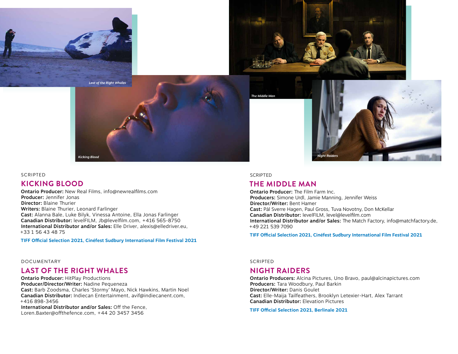



*The Middle Man*



#### **SCRIPTED**

## **KICKING BLOOD**

Ontario Producer: New Real Films, [info@newrealfilms.com](mailto:info@newrealfilms.com) Producer: Jennifer Jonas Director: Blaine Thurier Writers: Blaine Thurier, Leonard Farlinger Cast: Alanna Bale, Luke Bilyk, Vinessa Antoine, Ella Jonas Farlinger Canadian Distributor: levelFILM, [Jb@levelfilm.com](mailto:Jb@levelfilm.com), +416 565-8750 International Distributor and/or Sales: Elle Driver, [alexis@elledriver.eu,](mailto:alexis@elledriver.eu) +33 1 56 43 48 75

*Kicking Blood*

**TIFF Official Selection 2021, Cinéfest Sudbury International Film Festival 2021**

#### DOCUMENTARY

## **LAST OF THE RIGHT WHALES**

Ontario Producer: HitPlay Productions Producer/Director/Writer: Nadine Pequeneza Cast: Barb Zoodsma, Charles 'Stormy' Mayo, Nick Hawkins, Martin Noel Canadian Distributor: Indiecan Entertainment, [avif@indiecanent.com](mailto:avif@indiecanent.com), +416 898-3456 International Distributor and/or Sales: Off the Fence,

[Loren.Baxter@offthefence.com](mailto:Loren.Baxter@offthefence.com), +44 20 3457 3456

#### **SCRIPTED**

## **THE MIDDLE MAN**

Ontario Producer: The Film Farm Inc. Producers: Simone Urdl, Jamie Manning, Jennifer Weiss Director/Writer: Bent Hamer Cast: Pål Sverre Hagen, Paul Gross, Tuva Novotny, Don McKellar Canadian Distributor: levelFILM, [level@levelfilm.com](mailto:level@levelfilm.com) International Distributor and/or Sales: The Match Factory, [info@matchfactory.de](mailto:info@matchfactory.de), +49 221 539 7090

**TIFF Official Selection 2021, Cinéfest Sudbury International Film Festival 2021**

SCRIPTED

#### **NIGHT RAIDERS**

Ontario Producers: Alcina Pictures, Uno Bravo, [paul@alcinapictures.com](mailto:paul@alcinapictures.com) Producers: Tara Woodbury, Paul Barkin Director/Writer: Danis Goulet Cast: Elle-Maija Tailfeathers, Brooklyn Letexier-Hart, Alex Tarrant Canadian Distributor: Elevation Pictures

**TIFF Official Selection 2021, Berlinale 2021**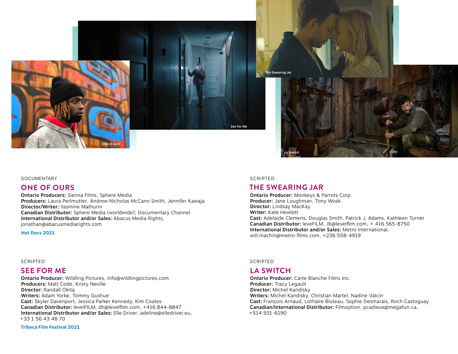



#### DOCUMENTARY

### **ONE OF OURS**

Ontario Producers: Sienna Films, Sphere Media Producers: Laura Perlmutter, Andrew Nicholas McCann Smith, Jennifer Kawaja Director/Writer: Yasmine Mathurin Canadian Distributor: Sphere Media (worldwide); Documentary Channel International Distributor and/or Sales: Abacus Media Rights, [jonathan@abacusmediarights.com](mailto:jonathan@abacusmediarights.com)

**Hot Docs 2021**

SCRIPTED

#### **SEE FOR ME**

Ontario Producer: Wildling Pictures, [info@wildlingpictures.com](mailto:info@wildlingpictures.com) Producers: Matt Code, Kristy Neville Director: Randall Okita Writers: Adam Yorke, Tommy Gushue Cast: Skyler Davenport, Jessica Parker Kennedy, Kim Coates Canadian Distributor: levelFILM, dh@levelfilm.com, +416 844-8847 International Distributor and/or Sales: Elle Driver, [adeline@elledriver.eu](mailto:adeline@elledriver.eu), +33 1 56 43 48 70

**Tribeca Film Festival 2021**

#### **SCRIPTED**

*See For Me*

## **THE SWEARING JAR**

Ontario Producer: Monkeys & Parrots Corp. Producer: Jane Loughman, Tony Wosk Director: Lindsay MacKay Writer: Kate Hewlett Cast: Adelaide Clemens, Douglas Smith, Patrick J. Adams, Kathleen Turner Canadian Distributor: leveFILM, [Jb@levelfilm.com](mailto:Jb@levelfilm.com), + 416 565-8750 International Distributor and/or Sales: Metro International, [will.machin@metro-films.com](mailto:will.machin@metro-films.com), +236 558-4919

#### SCRIPTED

## **LA SWITCH**

Ontario Producer: Carte Blanche Films Inc. Producer: Tracy Legault Director: Michel Kandisky Writers: Michel Kandisky, Christian Martel, Nadine Valcin Cast: François Arnaud, Lothaire Bluteau, Sophie Desmarais, Roch Castoguay Canadian/International Distributor: Filmoption, [pcadieux@megafun.ca](mailto:pcadieux@megafun.ca), +514 931-6190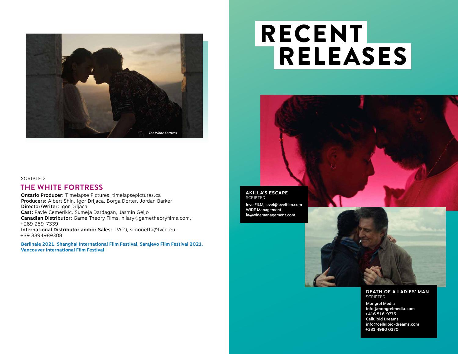

#### **SCRIPTED**

## **THE WHITE FORTRESS**

Ontario Producer: Timelapse Pictures, [timelapsepictures.ca](http://timelapsepictures.ca) Producers: Albert Shin, Igor Drljaca, Borga Dorter, Jordan Barker Director/Writer: Igor Drljaca Cast: Pavle Cemerikic, Sumeja Dardagan, Jasmin Geljo Canadian Distributor: Game Theory Films, [hilary@gametheoryfilms.com](mailto:hilary@gametheoryfilms.com), +289 259-7339 International Distributor and/or Sales: TVCO, [simonetta@tvco.eu](mailto:simonetta@tvco.eu), +39 3394989308

**Berlinale 2021, Shanghai International Film Festival, Sarajevo Film Festival 2021, Vancouver International Film Festival**

## RECENT RELEASES



#### **AKILLA'S ESCAPE** SCRIPTED

[levelFILM, level@levelfilm.com](http://levelFILM,%20level@levelfilm.com) WIDE Management [la@widemanagement.com](mailto:la@widemanagement.com)



Mongrel Media [info@mongrelmedia.com](mailto:info@mongrelmedia.com) +416 516-9775 Celluloid Dreams [info@celluloid-dreams.com](mailto:info@celluloid-dreams.com) +331 4980 0370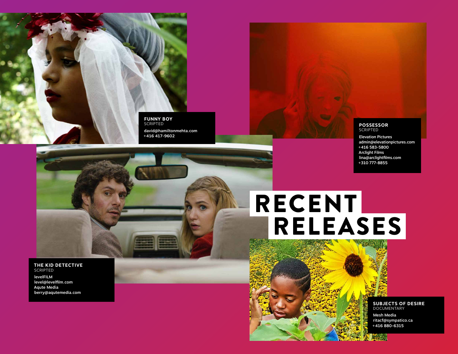

[david@hamiltonmehta.com](mailto:david@hamiltonmehta.com)

#### **POSSESSOR SCRIPTED**

Elevation Pictures [admin@elevationpictures.com](mailto:admin@elevationpictures.com) +416 583-5800 Arclight Films [lina@arclightfilms.com](mailto:lina@arclightfilms.com) +310 777-8855

## RECENT RELEASES

**THE KID DETECTIVE** SCRIPTED

levelFILM [level@levelfilm.com](mailto:level@levelfilm.com) Aqute Media [berry@aqutemedia.com](mailto:berry@aqutemedia.com)

> **SUBJECTS OF DESIRE** DOCUMENTARY Mesh Media ritacf@sympatico.ca +416 880-6315

**ENGIN**